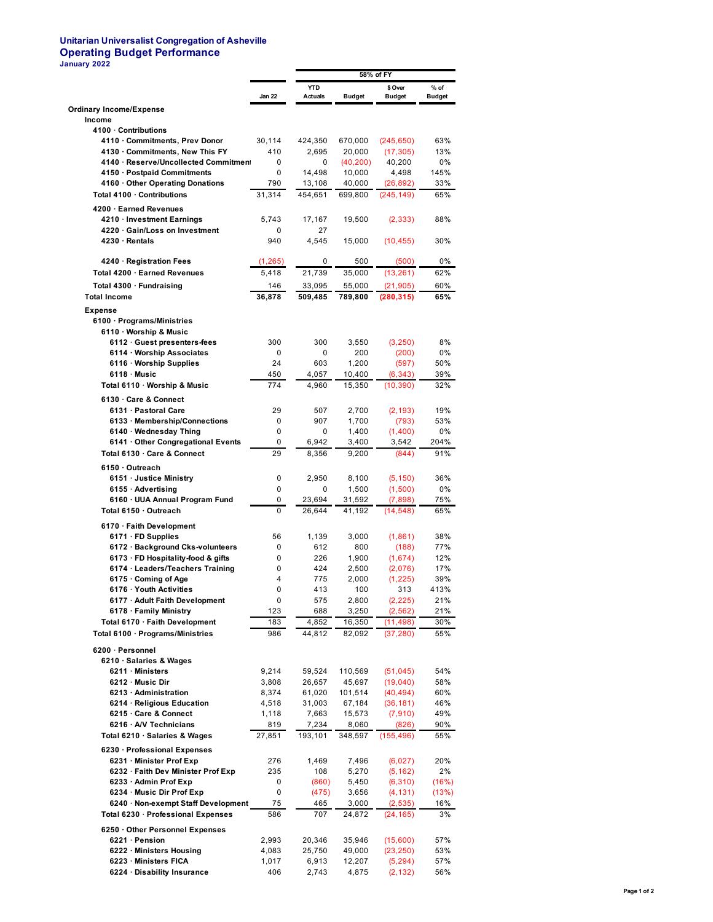## **Unitarian Universalist Congregation of Asheville Operating Budget Performance January 2022**

|                                                                      |                | 58% of FY                    |                     |                          |                       |  |
|----------------------------------------------------------------------|----------------|------------------------------|---------------------|--------------------------|-----------------------|--|
|                                                                      | Jan 22         | <b>YTD</b><br><b>Actuals</b> | <b>Budget</b>       | \$ Over<br><b>Budget</b> | % of<br><b>Budget</b> |  |
| <b>Ordinary Income/Expense</b>                                       |                |                              |                     |                          |                       |  |
| Income                                                               |                |                              |                     |                          |                       |  |
| 4100 · Contributions                                                 |                |                              |                     |                          |                       |  |
| 4110 · Commitments, Prev Donor                                       | 30,114         | 424,350                      | 670,000             | (245, 650)               | 63%                   |  |
| 4130 · Commitments, New This FY                                      | 410            | 2.695                        | 20,000              | (17, 305)                | 13%                   |  |
| 4140 · Reserve/Uncollected Commitment<br>4150 · Postpaid Commitments | 0<br>0         | 0<br>14,498                  | (40, 200)<br>10,000 | 40,200<br>4,498          | 0%<br>145%            |  |
| 4160 Other Operating Donations                                       | 790            | 13,108                       | 40,000              | (26,892)                 | 33%                   |  |
| Total 4100 · Contributions                                           | 31,314         | 454,651                      | 699,800             | (245, 149)               | 65%                   |  |
| 4200 · Earned Revenues                                               |                |                              |                     |                          |                       |  |
| 4210 · Investment Earnings                                           | 5,743          | 17,167                       | 19,500              | (2, 333)                 | 88%                   |  |
| 4220 · Gain/Loss on Investment                                       | 0              | 27                           |                     |                          |                       |  |
| 4230 · Rentals                                                       | 940            | 4,545                        | 15,000              | (10, 455)                | 30%                   |  |
| 4240 · Registration Fees                                             | (1, 265)       | 0                            | 500                 | (500)                    | 0%                    |  |
| Total 4200 · Earned Revenues                                         | 5,418          | 21,739                       | 35,000              | (13, 261)                | 62%                   |  |
| Total 4300 · Fundraising                                             | 146            | 33,095                       | 55,000              | (21, 905)                | 60%                   |  |
| <b>Total Income</b>                                                  | 36,878         | 509,485                      | 789,800             | (280, 315)               | 65%                   |  |
| <b>Expense</b>                                                       |                |                              |                     |                          |                       |  |
| 6100 · Programs/Ministries                                           |                |                              |                     |                          |                       |  |
| 6110 · Worship & Music                                               |                |                              |                     |                          |                       |  |
| 6112 · Guest presenters-fees                                         | 300            | 300                          | 3,550               | (3,250)                  | 8%                    |  |
| 6114 · Worship Associates<br>6116 · Worship Supplies                 | 0<br>24        | 0<br>603                     | 200<br>1,200        | (200)<br>(597)           | 0%<br>50%             |  |
| $6118 \cdot$ Music                                                   | 450            | 4,057                        | 10,400              | (6, 343)                 | 39%                   |  |
| Total 6110 · Worship & Music                                         | 774            | 4,960                        | 15,350              | (10, 390)                | 32%                   |  |
| 6130 · Care & Connect                                                |                |                              |                     |                          |                       |  |
| 6131 · Pastoral Care                                                 | 29             | 507                          | 2,700               | (2, 193)                 | 19%                   |  |
| 6133 · Membership/Connections                                        | 0              | 907                          | 1,700               | (793)                    | 53%                   |  |
| 6140 · Wednesday Thing                                               | 0              | 0                            | 1,400               | (1,400)                  | 0%                    |  |
| 6141 Other Congregational Events                                     | 0              | 6,942                        | 3,400               | 3,542                    | 204%                  |  |
| Total 6130 . Care & Connect                                          | 29             | 8,356                        | 9,200               | (844)                    | 91%                   |  |
| 6150 Outreach                                                        |                |                              |                     |                          |                       |  |
| 6151 · Justice Ministry<br>6155 · Advertising                        | 0<br>0         | 2,950<br>0                   | 8,100<br>1,500      | (5, 150)<br>(1,500)      | 36%<br>0%             |  |
| 6160 · UUA Annual Program Fund                                       | 0              | 23,694                       | 31,592              | (7,898)                  | 75%                   |  |
| Total 6150 · Outreach                                                | 0              | 26,644                       | 41,192              | (14, 548)                | 65%                   |  |
| 6170 · Faith Development                                             |                |                              |                     |                          |                       |  |
| $6171 \cdot FD$ Supplies                                             | 56             | 1,139                        | 3,000               | (1,861)                  | 38%                   |  |
| 6172 · Background Cks-volunteers                                     | 0              | 612                          | 800                 | (188)                    | 77%                   |  |
| 6173 · FD Hospitality-food & gifts                                   | 0              | 226                          | 1,900               | (1,674)                  | 12%                   |  |
| 6174 · Leaders/Teachers Training<br>6175 Coming of Age               | 0<br>4         | 424<br>775                   | 2,500<br>2,000      | (2,076)<br>(1, 225)      | 17%<br>39%            |  |
| 6176 · Youth Activities                                              | $\Omega$       | 413                          | 100                 | 313                      | 413%                  |  |
| 6177 · Adult Faith Development                                       | 0              | 575                          | 2,800               | (2, 225)                 | 21%                   |  |
| 6178 · Family Ministry                                               | 123            | 688                          | 3,250               | (2, 562)                 | 21%                   |  |
| Total 6170 · Faith Development                                       | 183            | 4,852                        | 16,350              | (11, 498)                | 30%                   |  |
| Total 6100 · Programs/Ministries                                     | 986            | 44,812                       | 82,092              | (37, 280)                | 55%                   |  |
| 6200 · Personnel                                                     |                |                              |                     |                          |                       |  |
| 6210 · Salaries & Wages                                              |                |                              |                     |                          |                       |  |
| 6211 · Ministers                                                     | 9,214          | 59,524                       | 110,569             | (51, 045)                | 54%                   |  |
| 6212 · Music Dir<br>6213 · Administration                            | 3,808<br>8,374 | 26,657<br>61,020             | 45,697<br>101,514   | (19,040)<br>(40, 494)    | 58%<br>60%            |  |
| 6214 · Religious Education                                           | 4,518          | 31,003                       | 67,184              | (36, 181)                | 46%                   |  |
| 6215 Care & Connect                                                  | 1,118          | 7,663                        | 15,573              | (7, 910)                 | 49%                   |  |
| 6216 · A/V Technicians                                               | 819            | 7,234                        | 8,060               | (826)                    | 90%                   |  |
| Total 6210 · Salaries & Wages                                        | 27,851         | 193,101                      | 348,597             | (155, 496)               | 55%                   |  |
| 6230 · Professional Expenses                                         |                |                              |                     |                          |                       |  |
| 6231 · Minister Prof Exp                                             | 276            | 1,469                        | 7,496               | (6,027)                  | 20%                   |  |
| 6232 · Faith Dev Minister Prof Exp                                   | 235            | 108                          | 5,270               | (5, 162)                 | 2%                    |  |
| 6233 · Admin Prof Exp<br>6234 · Music Dir Prof Exp                   | 0<br>0         | (860)<br>(475)               | 5,450<br>3,656      | (6, 310)<br>(4, 131)     | (16%)<br>(13%)        |  |
| 6240 · Non-exempt Staff Development                                  | 75             | 465                          | 3,000               | (2, 535)                 | 16%                   |  |
| Total 6230 · Professional Expenses                                   | 586            | 707                          | 24,872              | (24, 165)                | 3%                    |  |
| 6250 Other Personnel Expenses                                        |                |                              |                     |                          |                       |  |
| 6221 · Pension                                                       | 2,993          | 20,346                       | 35,946              | (15,600)                 | 57%                   |  |
| 6222 · Ministers Housing                                             | 4,083          | 25,750                       | 49,000              | (23, 250)                | 53%                   |  |
| 6223 · Ministers FICA                                                | 1,017          | 6,913                        | 12,207              | (5, 294)                 | 57%                   |  |
| 6224 · Disability Insurance                                          | 406            | 2,743                        | 4,875               | (2, 132)                 | 56%                   |  |